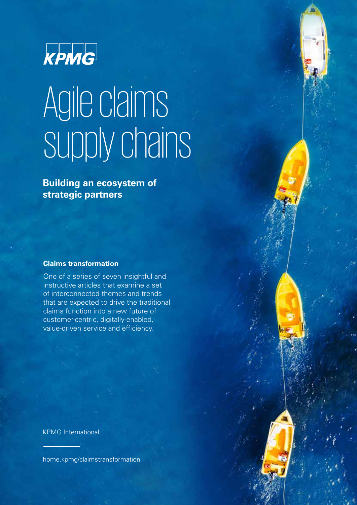

# Agile claims supply chains

**Building an ecosystem of strategic partners**

#### **Claims transformation**

One of a series of seven insightful and instructive articles that examine a set of interconnected themes and trends that are expected to drive the traditional claims function into a new future of customer-centric, digitally-enabled, value-driven service and efficiency.

KPMG International

[home.kpmg/claimstransformation](http://home.kpmg/claimstransformation)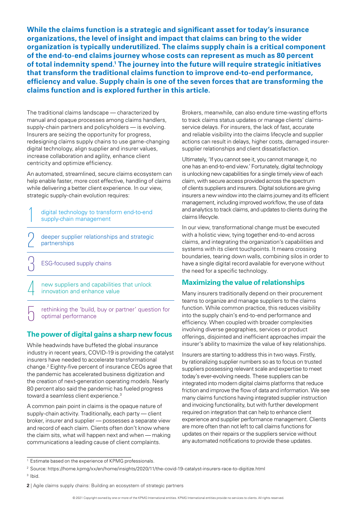**While the claims function is a strategic and significant asset for today's insurance organizations, the level of insight and impact that claims can bring to the wider organization is typically underutilized. The claims supply chain is a critical component of the end-to-end claims journey whose costs can represent as much as 80 percent of total indemnity spend.1 The journey into the future will require strategic initiatives that transform the traditional claims function to improve end-to-end performance, efficiency and value. Supply chain is one of the seven forces that are transforming the claims function and is explored further in this article.** 

The traditional claims landscape — characterized by manual and opaque processes among claims handlers, supply-chain partners and policyholders — is evolving. Insurers are seizing the opportunity for progress, redesigning claims supply chains to use game-changing digital technology, align supplier and insurer values, increase collaboration and agility, enhance client centricity and optimize efficiency.

An automated, streamlined, secure claims ecosystem can help enable faster, more cost effective, handling of claims while delivering a better client experience. In our view, strategic supply-chain evolution requires:

digital technology to transform end-to-end<br>supply-chain management

deeper supplier relationships and strategic partnerships 2

ESG-focused supply chains

—<br>ე

5

new suppliers and capabilities that unlock<br>innovation and enhance value

rethinking the 'build, buy or partner' question for optimal performance

### **The power of digital gains a sharp new focus**

While headwinds have buffeted the global insurance industry in recent years, COVID-19 is providing the catalyst insurers have needed to accelerate transformational change.2 Eighty-five percent of insurance CEOs agree that the pandemic has accelerated business digitization and the creation of next-generation operating models. Nearly 80 percent also said the pandemic has fueled progress toward a seamless client experience.<sup>3</sup>

A common pain point in claims is the opaque nature of supply-chain activity. Traditionally, each party — client broker, insurer and supplier — possesses a separate view and record of each claim. Clients often don't know where the claim sits, what will happen next and when — making communications a leading cause of client complaints.

Brokers, meanwhile, can also endure time-wasting efforts to track claims status updates or manage clients' claimsservice delays. For insurers, the lack of fast, accurate and reliable visibility into the claims lifecycle and supplier actions can result in delays, higher costs, damaged insurersupplier relationships and client dissatisfaction.

Ultimately, 'If you cannot see it, you cannot manage it, no one has an end-to-end view.' Fortunately, digital technology is unlocking new capabilities for a single timely view of each claim, with secure access provided across the spectrum of clients suppliers and insurers. Digital solutions are giving insurers a new window into the claims journey and its efficient management, including improved workflow, the use of data and analytics to track claims, and updates to clients during the claims lifecycle.

In our view, transformational change must be executed with a holistic view, tying together end-to-end across claims, and integrating the organization's capabilities and systems with its client touchpoints. It means crossing boundaries, tearing down walls, combining silos in order to have a single digital record available for everyone without the need for a specific technology.

### **Maximizing the value of relationships**

Many insurers traditionally depend on their procurement teams to organize and manage suppliers to the claims function. While common practice, this reduces visibility into the supply chain's end-to-end performance and efficiency. When coupled with broader complexities involving diverse geographies, services or product offerings, disjointed and inefficient approaches impair the insurer's ability to maximize the value of key relationships.

Insurers are starting to address this in two ways. Firstly, by rationalizing supplier numbers so as to focus on trusted suppliers possessing relevant scale and expertise to meet today's ever-evolving needs. These suppliers can be integrated into modern digital claims platforms that reduce friction and improve the flow of data and information. We see many claims functions having integrated supplier instruction and invoicing functionality, but with further development required on integration that can help to enhance client experience and supplier performance management. Clients are more often than not left to call claims functions for updates on their repairs or the suppliers service without any automated notifications to provide these updates.

<sup>3</sup> Ibid.

<sup>&</sup>lt;sup>1</sup> Estimate based on the experience of KPMG professionals.

<sup>2</sup> Source:<https://home.kpmg/xx/en/home/insights/2020/11/the-covid-19-catalyst-insurers-race-to-digitize.html>

**<sup>2</sup>** | Agile claims supply chains: Building an ecosystem of strategic partners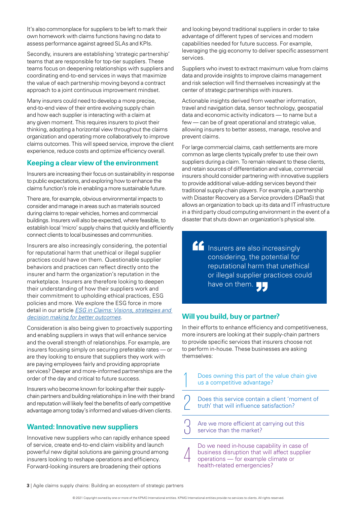It's also commonplace for suppliers to be left to mark their own homework with claims functions having no data to assess performance against agreed SLAs and KPIs.

Secondly, insurers are establishing 'strategic partnership' teams that are responsible for top-tier suppliers. These teams focus on deepening relationships with suppliers and coordinating end-to-end services in ways that maximize the value of each partnership moving beyond a contract approach to a joint continuous improvement mindset.

Many insurers could need to develop a more precise, end-to-end view of their entire evolving supply chain and how each supplier is interacting with a claim at any given moment. This requires insurers to pivot their thinking, adopting a horizontal view throughout the claims organization and operating more collaboratively to improve claims outcomes. This will speed service, improve the client experience, reduce costs and optimize efficiency overall.

### **Keeping a clear view of the environment**

Insurers are increasing their focus on sustainability in response to public expectations, and exploring how to enhance the claims function's role in enabling a more sustainable future.

There are, for example, obvious environmental impacts to consider and manage in areas such as materials sourced during claims to repair vehicles, homes and commercial buildings. Insurers will also be expected, where feasible, to establish local 'micro' supply chains that quickly and efficiently connect clients to local businesses and communities.

Insurers are also increasingly considering, the potential for reputational harm that unethical or illegal supplier practices could have on them. Questionable supplier behaviors and practices can reflect directly onto the insurer and harm the organization's reputation in the marketplace. Insurers are therefore looking to deepen their understanding of how their suppliers work and their commitment to upholding ethical practices, ESG policies and more. We explore the ESG force in more detail in our article *[ESG in Claims: Visions, strategies and](https://home.kpmg/xx/en/home/insights/2021/08/esg-in-claims-vision-strategies-and-decision-making-for-better-outcomes.html
)  [decision making for better outcomes](https://home.kpmg/xx/en/home/insights/2021/08/esg-in-claims-vision-strategies-and-decision-making-for-better-outcomes.html
)*.

Consideration is also being given to proactively supporting and enabling suppliers in ways that will enhance service and the overall strength of relationships. For example, are insurers focusing simply on securing preferable rates — or are they looking to ensure that suppliers they work with are paying employees fairly and providing appropriate services? Deeper and more-informed partnerships are the order of the day and critical to future success.

Insurers who become known for looking after their supplychain partners and building relationships in line with their brand and reputation will likely feel the benefits of early competitive advantage among today's informed and values-driven clients.

# **Wanted: Innovative new suppliers**

Innovative new suppliers who can rapidly enhance speed of service, create end-to-end claim visibility and launch powerful new digital solutions are gaining ground among insurers looking to reshape operations and efficiency. Forward-looking insurers are broadening their options

and looking beyond traditional suppliers in order to take advantage of different types of services and modern capabilities needed for future success. For example, leveraging the gig economy to deliver specific assessment services.

Suppliers who invest to extract maximum value from claims data and provide insights to improve claims management and risk selection will find themselves increasingly at the center of strategic partnerships with insurers.

Actionable insights derived from weather information, travel and navigation data, sensor technology, geospatial data and economic activity indicators — to name but a few — can be of great operational and strategic value. allowing insurers to better assess, manage, resolve and prevent claims.

For large commercial claims, cash settlements are more common as large clients typically prefer to use their own suppliers during a claim. To remain relevant to these clients, and retain sources of differentiation and value, commercial insurers should consider partnering with innovative suppliers to provide additional value-adding services beyond their traditional supply-chain players. For example, a partnership with Disaster Recovery as a Service providers (DRaaS) that allows an organization to back up its data and IT infrastructure in a third party cloud computing environment in the event of a disaster that shuts down an organization's physical site.

**Insurers are also increasingly** considering, the potential for reputational harm that unethical or illegal supplier practices could have on them.

### **Will you build, buy or partner?**

In their efforts to enhance efficiency and competitiveness, more insurers are looking at their supply-chain partners to provide specific services that insurers choose not to perform in-house. These businesses are asking themselves:

Does owning this part of the value chain give us a competitive advantage?

Does this service contain a client 'moment of truth' that will influence satisfaction?  $\cap$ 

Are we more efficient at carrying out this service than the market? —<br>ე

Do we need in-house capability in case of business disruption that will affect supplier operations — for example climate or health-related emergencies?

1

4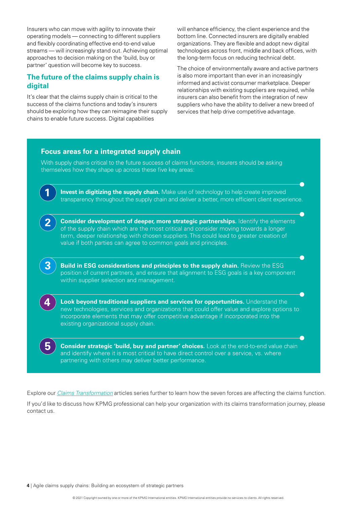Insurers who can move with agility to innovate their operating models — connecting to different suppliers and flexibly coordinating effective end-to-end value streams — will increasingly stand out. Achieving optimal approaches to decision making on the 'build, buy or partner' question will become key to success.

### **The future of the claims supply chain is digital**

It's clear that the claims supply chain is critical to the success of the claims functions and today's insurers should be exploring how they can reimagine their supply chains to enable future success. Digital capabilities

will enhance efficiency, the client experience and the bottom line. Connected insurers are digitally enabled organizations. They are flexible and adopt new digital technologies across front, middle and back offices, with the long-term focus on reducing technical debt.

The choice of environmentally aware and active partners is also more important than ever in an increasingly informed and activist consumer marketplace. Deeper relationships with existing suppliers are required, while insurers can also benefit from the integration of new suppliers who have the ability to deliver a new breed of services that help drive competitive advantage.



Explore our *[Claims Transformation](https://home.kpmg/xx/en/home/insights/2021/08/claims-transformation.html)* articles series further to learn how the seven forces are affecting the claims function. If you'd like to discuss how KPMG professional can help your organization with its claims transformation journey, please contact us.

**4** | Agile claims supply chains: Building an ecosystem of strategic partners